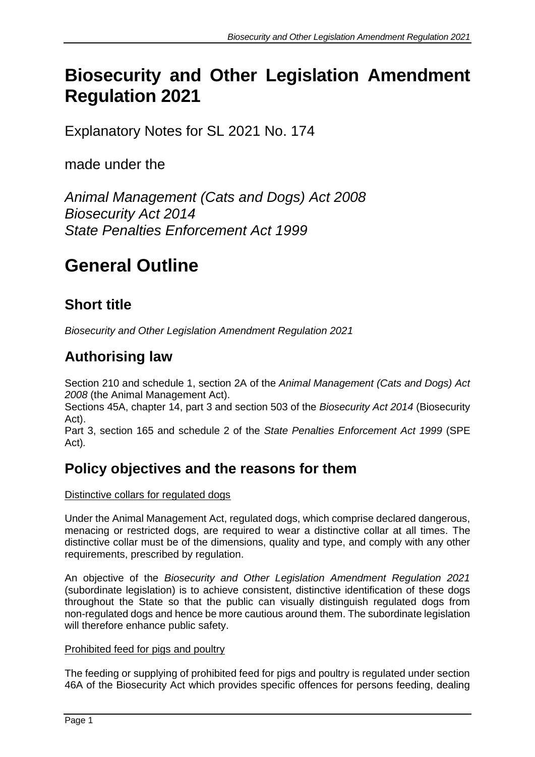# **Biosecurity and Other Legislation Amendment Regulation 2021**

Explanatory Notes for SL 2021 No. 174

made under the

*Animal Management (Cats and Dogs) Act 2008 Biosecurity Act 2014 State Penalties Enforcement Act 1999*

# **General Outline**

# **Short title**

*Biosecurity and Other Legislation Amendment Regulation 2021*

## **Authorising law**

Section 210 and schedule 1, section 2A of the *Animal Management (Cats and Dogs) Act 2008* (the Animal Management Act).

Sections 45A, chapter 14, part 3 and section 503 of the *Biosecurity Act 2014* (Biosecurity Act).

Part 3, section 165 and schedule 2 of the *State Penalties Enforcement Act 1999* (SPE Act)*.*

## **Policy objectives and the reasons for them**

Distinctive collars for regulated dogs

Under the Animal Management Act, regulated dogs, which comprise declared dangerous, menacing or restricted dogs, are required to wear a distinctive collar at all times. The distinctive collar must be of the dimensions, quality and type, and comply with any other requirements, prescribed by regulation.

An objective of the *Biosecurity and Other Legislation Amendment Regulation 2021* (subordinate legislation) is to achieve consistent, distinctive identification of these dogs throughout the State so that the public can visually distinguish regulated dogs from non-regulated dogs and hence be more cautious around them. The subordinate legislation will therefore enhance public safety.

### Prohibited feed for pigs and poultry

The feeding or supplying of prohibited feed for pigs and poultry is regulated under section 46A of the Biosecurity Act which provides specific offences for persons feeding, dealing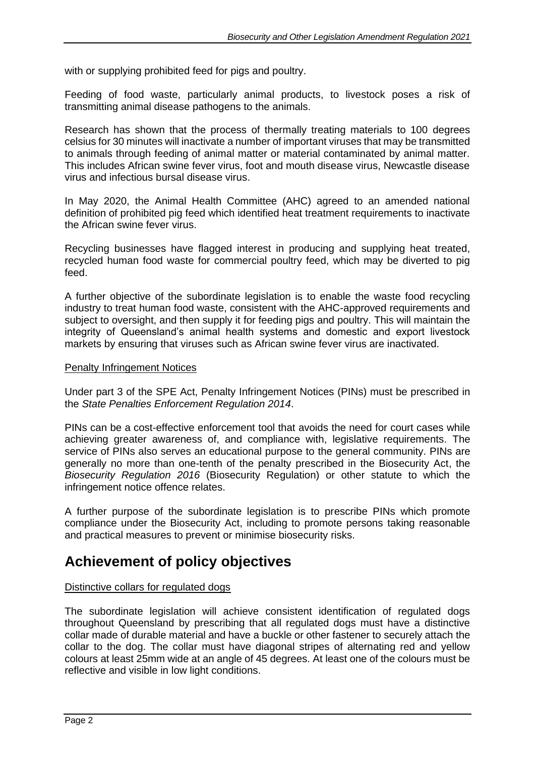with or supplying prohibited feed for pigs and poultry.

Feeding of food waste, particularly animal products, to livestock poses a risk of transmitting animal disease pathogens to the animals.

Research has shown that the process of thermally treating materials to 100 degrees celsius for 30 minutes will inactivate a number of important viruses that may be transmitted to animals through feeding of animal matter or material contaminated by animal matter. This includes African swine fever virus, foot and mouth disease virus, Newcastle disease virus and infectious bursal disease virus.

In May 2020, the Animal Health Committee (AHC) agreed to an amended national definition of prohibited pig feed which identified heat treatment requirements to inactivate the African swine fever virus.

Recycling businesses have flagged interest in producing and supplying heat treated, recycled human food waste for commercial poultry feed, which may be diverted to pig feed.

A further objective of the subordinate legislation is to enable the waste food recycling industry to treat human food waste, consistent with the AHC-approved requirements and subject to oversight, and then supply it for feeding pigs and poultry. This will maintain the integrity of Queensland's animal health systems and domestic and export livestock markets by ensuring that viruses such as African swine fever virus are inactivated.

#### **Penalty Infringement Notices**

Under part 3 of the SPE Act, Penalty Infringement Notices (PINs) must be prescribed in the *State Penalties Enforcement Regulation 2014*.

PINs can be a cost-effective enforcement tool that avoids the need for court cases while achieving greater awareness of, and compliance with, legislative requirements. The service of PINs also serves an educational purpose to the general community. PINs are generally no more than one-tenth of the penalty prescribed in the Biosecurity Act, the *Biosecurity Regulation 2016* (Biosecurity Regulation) or other statute to which the infringement notice offence relates.

A further purpose of the subordinate legislation is to prescribe PINs which promote compliance under the Biosecurity Act, including to promote persons taking reasonable and practical measures to prevent or minimise biosecurity risks.

### **Achievement of policy objectives**

### Distinctive collars for regulated dogs

The subordinate legislation will achieve consistent identification of regulated dogs throughout Queensland by prescribing that all regulated dogs must have a distinctive collar made of durable material and have a buckle or other fastener to securely attach the collar to the dog. The collar must have diagonal stripes of alternating red and yellow colours at least 25mm wide at an angle of 45 degrees. At least one of the colours must be reflective and visible in low light conditions.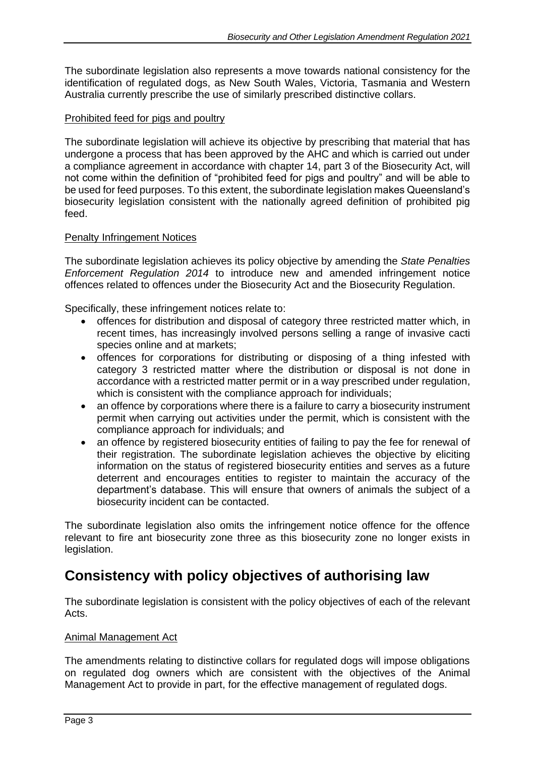The subordinate legislation also represents a move towards national consistency for the identification of regulated dogs, as New South Wales, Victoria, Tasmania and Western Australia currently prescribe the use of similarly prescribed distinctive collars.

### Prohibited feed for pigs and poultry

The subordinate legislation will achieve its objective by prescribing that material that has undergone a process that has been approved by the AHC and which is carried out under a compliance agreement in accordance with chapter 14, part 3 of the Biosecurity Act, will not come within the definition of "prohibited feed for pigs and poultry" and will be able to be used for feed purposes. To this extent, the subordinate legislation makes Queensland's biosecurity legislation consistent with the nationally agreed definition of prohibited pig feed.

### Penalty Infringement Notices

The subordinate legislation achieves its policy objective by amending the *State Penalties Enforcement Regulation 2014* to introduce new and amended infringement notice offences related to offences under the Biosecurity Act and the Biosecurity Regulation.

Specifically, these infringement notices relate to:

- offences for distribution and disposal of category three restricted matter which, in recent times, has increasingly involved persons selling a range of invasive cacti species online and at markets;
- offences for corporations for distributing or disposing of a thing infested with category 3 restricted matter where the distribution or disposal is not done in accordance with a restricted matter permit or in a way prescribed under regulation, which is consistent with the compliance approach for individuals;
- an offence by corporations where there is a failure to carry a biosecurity instrument permit when carrying out activities under the permit, which is consistent with the compliance approach for individuals; and
- an offence by registered biosecurity entities of failing to pay the fee for renewal of their registration. The subordinate legislation achieves the objective by eliciting information on the status of registered biosecurity entities and serves as a future deterrent and encourages entities to register to maintain the accuracy of the department's database. This will ensure that owners of animals the subject of a biosecurity incident can be contacted.

The subordinate legislation also omits the infringement notice offence for the offence relevant to fire ant biosecurity zone three as this biosecurity zone no longer exists in legislation.

### **Consistency with policy objectives of authorising law**

The subordinate legislation is consistent with the policy objectives of each of the relevant Acts.

#### Animal Management Act

The amendments relating to distinctive collars for regulated dogs will impose obligations on regulated dog owners which are consistent with the objectives of the Animal Management Act to provide in part, for the effective management of regulated dogs.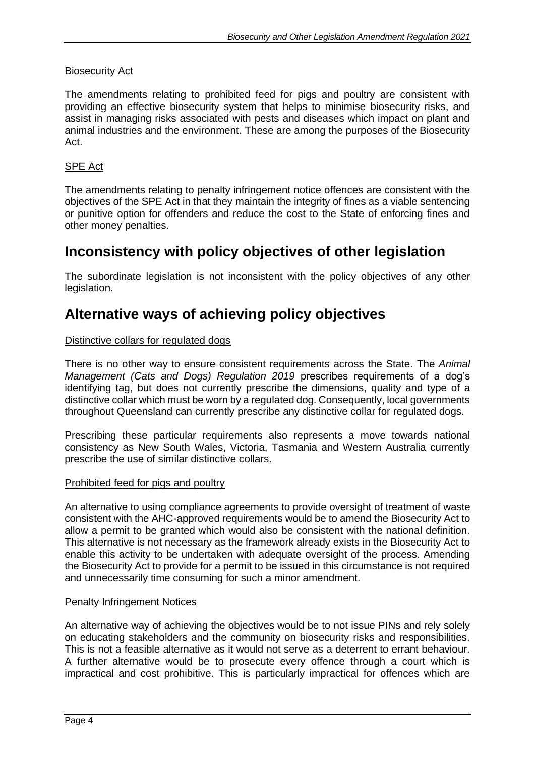### Biosecurity Act

The amendments relating to prohibited feed for pigs and poultry are consistent with providing an effective biosecurity system that helps to minimise biosecurity risks, and assist in managing risks associated with pests and diseases which impact on plant and animal industries and the environment. These are among the purposes of the Biosecurity Act.

### SPE Act

The amendments relating to penalty infringement notice offences are consistent with the objectives of the SPE Act in that they maintain the integrity of fines as a viable sentencing or punitive option for offenders and reduce the cost to the State of enforcing fines and other money penalties.

### **Inconsistency with policy objectives of other legislation**

The subordinate legislation is not inconsistent with the policy objectives of any other legislation.

### **Alternative ways of achieving policy objectives**

### Distinctive collars for regulated dogs

There is no other way to ensure consistent requirements across the State. The *Animal Management (Cats and Dogs) Regulation 2019* prescribes requirements of a dog's identifying tag, but does not currently prescribe the dimensions, quality and type of a distinctive collar which must be worn by a regulated dog. Consequently, local governments throughout Queensland can currently prescribe any distinctive collar for regulated dogs.

Prescribing these particular requirements also represents a move towards national consistency as New South Wales, Victoria, Tasmania and Western Australia currently prescribe the use of similar distinctive collars.

#### Prohibited feed for pigs and poultry

An alternative to using compliance agreements to provide oversight of treatment of waste consistent with the AHC-approved requirements would be to amend the Biosecurity Act to allow a permit to be granted which would also be consistent with the national definition. This alternative is not necessary as the framework already exists in the Biosecurity Act to enable this activity to be undertaken with adequate oversight of the process. Amending the Biosecurity Act to provide for a permit to be issued in this circumstance is not required and unnecessarily time consuming for such a minor amendment.

#### Penalty Infringement Notices

An alternative way of achieving the objectives would be to not issue PINs and rely solely on educating stakeholders and the community on biosecurity risks and responsibilities. This is not a feasible alternative as it would not serve as a deterrent to errant behaviour. A further alternative would be to prosecute every offence through a court which is impractical and cost prohibitive. This is particularly impractical for offences which are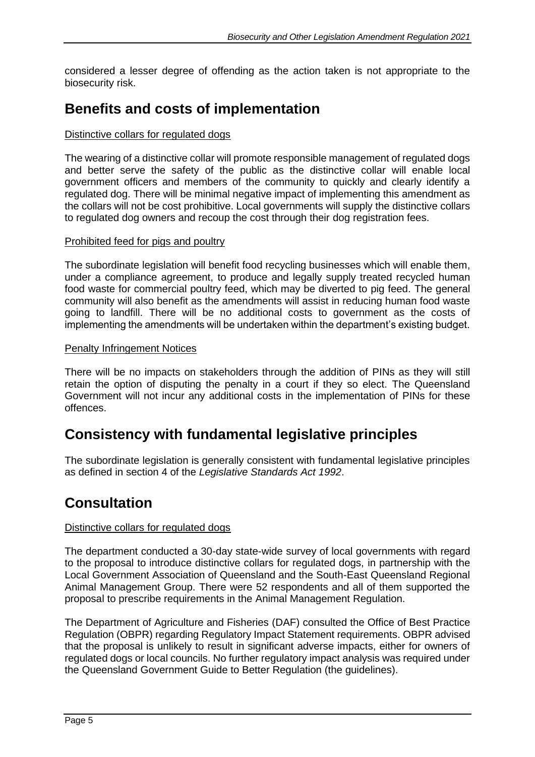considered a lesser degree of offending as the action taken is not appropriate to the biosecurity risk.

### **Benefits and costs of implementation**

### Distinctive collars for regulated dogs

The wearing of a distinctive collar will promote responsible management of regulated dogs and better serve the safety of the public as the distinctive collar will enable local government officers and members of the community to quickly and clearly identify a regulated dog. There will be minimal negative impact of implementing this amendment as the collars will not be cost prohibitive. Local governments will supply the distinctive collars to regulated dog owners and recoup the cost through their dog registration fees.

### Prohibited feed for pigs and poultry

The subordinate legislation will benefit food recycling businesses which will enable them, under a compliance agreement, to produce and legally supply treated recycled human food waste for commercial poultry feed, which may be diverted to pig feed. The general community will also benefit as the amendments will assist in reducing human food waste going to landfill. There will be no additional costs to government as the costs of implementing the amendments will be undertaken within the department's existing budget.

#### Penalty Infringement Notices

There will be no impacts on stakeholders through the addition of PINs as they will still retain the option of disputing the penalty in a court if they so elect. The Queensland Government will not incur any additional costs in the implementation of PINs for these offences.

### **Consistency with fundamental legislative principles**

The subordinate legislation is generally consistent with fundamental legislative principles as defined in section 4 of the *Legislative Standards Act 1992*.

### **Consultation**

### Distinctive collars for regulated dogs

The department conducted a 30-day state-wide survey of local governments with regard to the proposal to introduce distinctive collars for regulated dogs, in partnership with the Local Government Association of Queensland and the South-East Queensland Regional Animal Management Group. There were 52 respondents and all of them supported the proposal to prescribe requirements in the Animal Management Regulation.

The Department of Agriculture and Fisheries (DAF) consulted the Office of Best Practice Regulation (OBPR) regarding Regulatory Impact Statement requirements. OBPR advised that the proposal is unlikely to result in significant adverse impacts, either for owners of regulated dogs or local councils. No further regulatory impact analysis was required under the Queensland Government Guide to Better Regulation (the guidelines).